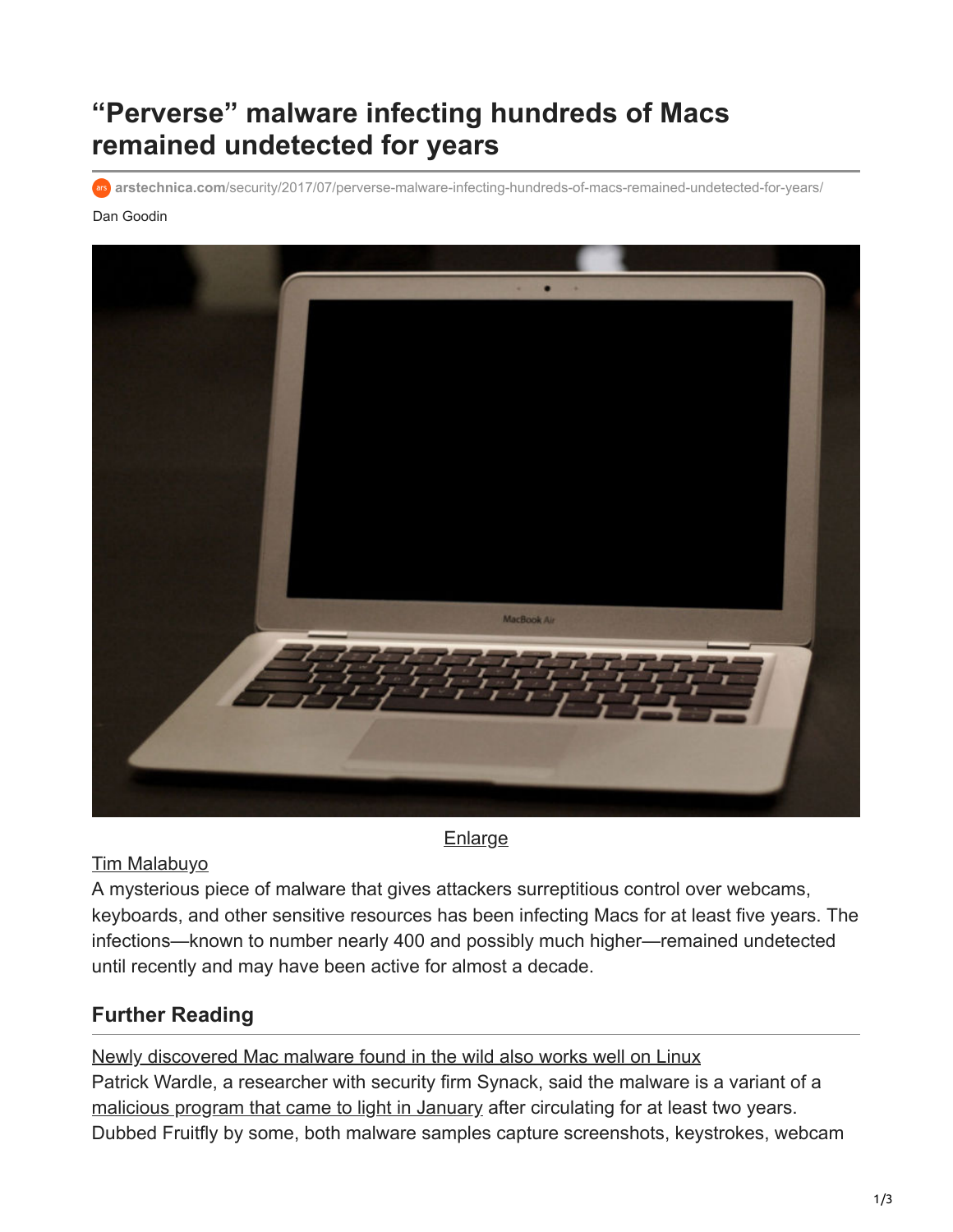# **"Perverse" malware infecting hundreds of Macs remained undetected for years**

arstechnica.com[/security/2017/07/perverse-malware-infecting-hundreds-of-macs-remained-undetected-for-years/](https://arstechnica.com/security/2017/07/perverse-malware-infecting-hundreds-of-macs-remained-undetected-for-years/)

#### Dan Goodin



**[Enlarge](https://cdn.arstechnica.net/wp-content/uploads/2017/07/macbook-air.jpg)** 

#### [Tim Malabuyo](https://www.flickr.com/photos/12313873@N00/2195491843/)

A mysterious piece of malware that gives attackers surreptitious control over webcams, keyboards, and other sensitive resources has been infecting Macs for at least five years. The infections—known to number nearly 400 and possibly much higher—remained undetected until recently and may have been active for almost a decade.

### **Further Reading**

[Newly discovered Mac malware found in the wild also works well on Linux](https://arstechnica.com/information-technology/2017/01/newly-discovered-mac-malware-may-have-circulated-in-the-wild-for-2-years/) Patrick Wardle, a researcher with security firm Synack, said the malware is a variant of a [malicious program that came to light in January](https://arstechnica.com/security/2017/01/newly-discovered-mac-malware-may-have-circulated-in-the-wild-for-2-years/) after circulating for at least two years. Dubbed Fruitfly by some, both malware samples capture screenshots, keystrokes, webcam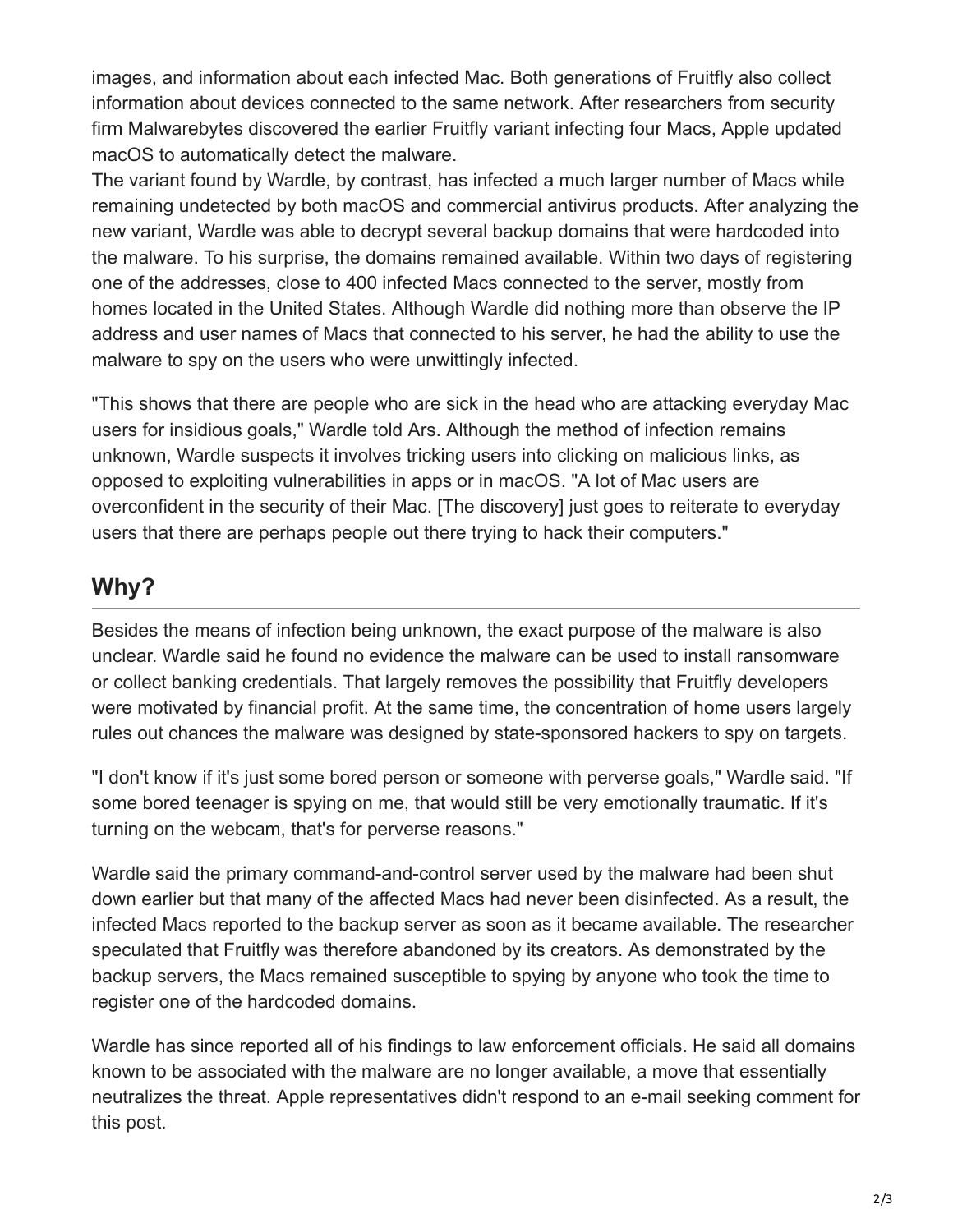images, and information about each infected Mac. Both generations of Fruitfly also collect information about devices connected to the same network. After researchers from security firm Malwarebytes discovered the earlier Fruitfly variant infecting four Macs, Apple updated macOS to automatically detect the malware.

The variant found by Wardle, by contrast, has infected a much larger number of Macs while remaining undetected by both macOS and commercial antivirus products. After analyzing the new variant, Wardle was able to decrypt several backup domains that were hardcoded into the malware. To his surprise, the domains remained available. Within two days of registering one of the addresses, close to 400 infected Macs connected to the server, mostly from homes located in the United States. Although Wardle did nothing more than observe the IP address and user names of Macs that connected to his server, he had the ability to use the malware to spy on the users who were unwittingly infected.

"This shows that there are people who are sick in the head who are attacking everyday Mac users for insidious goals," Wardle told Ars. Although the method of infection remains unknown, Wardle suspects it involves tricking users into clicking on malicious links, as opposed to exploiting vulnerabilities in apps or in macOS. "A lot of Mac users are overconfident in the security of their Mac. [The discovery] just goes to reiterate to everyday users that there are perhaps people out there trying to hack their computers."

## **Why?**

Besides the means of infection being unknown, the exact purpose of the malware is also unclear. Wardle said he found no evidence the malware can be used to install ransomware or collect banking credentials. That largely removes the possibility that Fruitfly developers were motivated by financial profit. At the same time, the concentration of home users largely rules out chances the malware was designed by state-sponsored hackers to spy on targets.

"I don't know if it's just some bored person or someone with perverse goals," Wardle said. "If some bored teenager is spying on me, that would still be very emotionally traumatic. If it's turning on the webcam, that's for perverse reasons."

Wardle said the primary command-and-control server used by the malware had been shut down earlier but that many of the affected Macs had never been disinfected. As a result, the infected Macs reported to the backup server as soon as it became available. The researcher speculated that Fruitfly was therefore abandoned by its creators. As demonstrated by the backup servers, the Macs remained susceptible to spying by anyone who took the time to register one of the hardcoded domains.

Wardle has since reported all of his findings to law enforcement officials. He said all domains known to be associated with the malware are no longer available, a move that essentially neutralizes the threat. Apple representatives didn't respond to an e-mail seeking comment for this post.